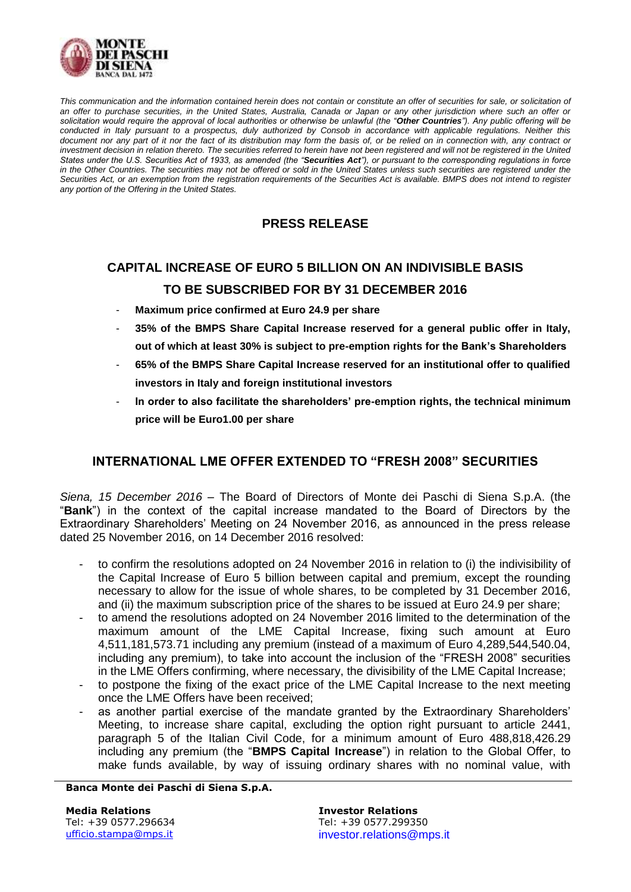

This communication and the information contained herein does not contain or constitute an offer of securities for sale, or solicitation of *an offer to purchase securities, in the United States, Australia, Canada or Japan or any other jurisdiction where such an offer or solicitation would require the approval of local authorities or otherwise be unlawful (the "Other Countries"). Any public offering will be conducted in Italy pursuant to a prospectus, duly authorized by Consob in accordance with applicable regulations. Neither this document nor any part of it nor the fact of its distribution may form the basis of, or be relied on in connection with, any contract or investment decision in relation thereto. The securities referred to herein have not been registered and will not be registered in the United States under the U.S. Securities Act of 1933, as amended (the "Securities Act"), or pursuant to the corresponding regulations in force* in the Other Countries. The securities may not be offered or sold in the United States unless such securities are registered under the *Securities Act, or an exemption from the registration requirements of the Securities Act is available. BMPS does not intend to register any portion of the Offering in the United States.*

## **PRESS RELEASE**

# **CAPITAL INCREASE OF EURO 5 BILLION ON AN INDIVISIBLE BASIS TO BE SUBSCRIBED FOR BY 31 DECEMBER 2016**

- Maximum price confirmed at Euro 24.9 per share
- **35% of the BMPS Share Capital Increase reserved for a general public offer in Italy, out of which at least 30% is subject to pre-emption rights for the Bank's Shareholders**
- **65% of the BMPS Share Capital Increase reserved for an institutional offer to qualified investors in Italy and foreign institutional investors**
- **In order to also facilitate the shareholders' pre-emption rights, the technical minimum price will be Euro1.00 per share**

## **INTERNATIONAL LME OFFER EXTENDED TO "FRESH 2008" SECURITIES**

*Siena, 15 December 2016* – The Board of Directors of Monte dei Paschi di Siena S.p.A. (the "**Bank**") in the context of the capital increase mandated to the Board of Directors by the Extraordinary Shareholders' Meeting on 24 November 2016, as announced in the press release dated 25 November 2016, on 14 December 2016 resolved:

- to confirm the resolutions adopted on 24 November 2016 in relation to (i) the indivisibility of the Capital Increase of Euro 5 billion between capital and premium, except the rounding necessary to allow for the issue of whole shares, to be completed by 31 December 2016, and (ii) the maximum subscription price of the shares to be issued at Euro 24.9 per share;
- to amend the resolutions adopted on 24 November 2016 limited to the determination of the maximum amount of the LME Capital Increase, fixing such amount at Euro 4,511,181,573.71 including any premium (instead of a maximum of Euro 4,289,544,540.04, including any premium), to take into account the inclusion of the "FRESH 2008" securities in the LME Offers confirming, where necessary, the divisibility of the LME Capital Increase;
- to postpone the fixing of the exact price of the LME Capital Increase to the next meeting once the LME Offers have been received;
- as another partial exercise of the mandate granted by the Extraordinary Shareholders' Meeting, to increase share capital, excluding the option right pursuant to article 2441, paragraph 5 of the Italian Civil Code, for a minimum amount of Euro 488,818,426.29 including any premium (the "**BMPS Capital Increase**") in relation to the Global Offer, to make funds available, by way of issuing ordinary shares with no nominal value, with

#### **Banca Monte dei Paschi di Siena S.p.A.**

**Media Relations Investor Relations**

Tel: +39 0577.296634 Tel: +39 0577.299350 [ufficio.stampa@mps.it](mailto:ufficio.stampa@mps.it) investor.relations@mps.it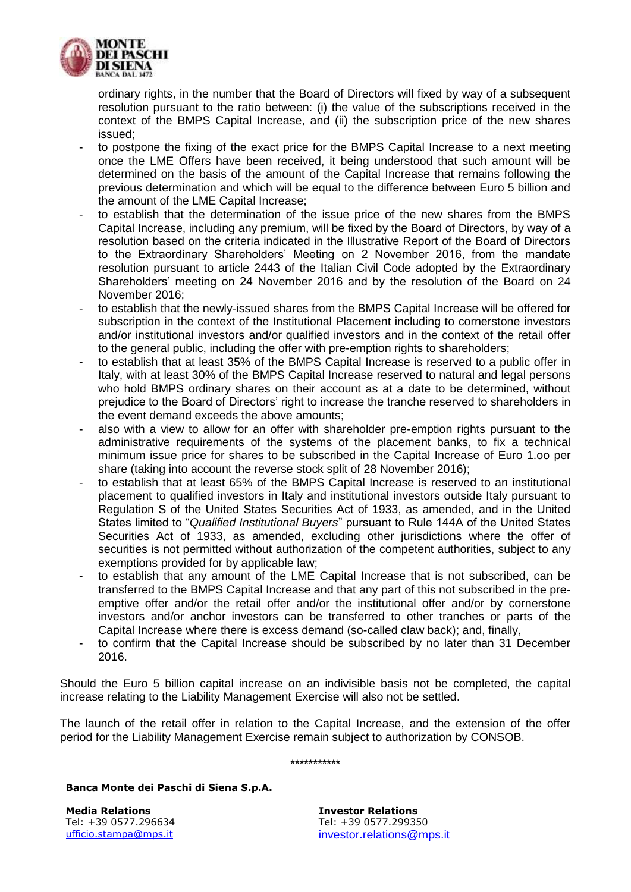

ordinary rights, in the number that the Board of Directors will fixed by way of a subsequent resolution pursuant to the ratio between: (i) the value of the subscriptions received in the context of the BMPS Capital Increase, and (ii) the subscription price of the new shares issued;

- to postpone the fixing of the exact price for the BMPS Capital Increase to a next meeting once the LME Offers have been received, it being understood that such amount will be determined on the basis of the amount of the Capital Increase that remains following the previous determination and which will be equal to the difference between Euro 5 billion and the amount of the LME Capital Increase;
- to establish that the determination of the issue price of the new shares from the BMPS Capital Increase, including any premium, will be fixed by the Board of Directors, by way of a resolution based on the criteria indicated in the Illustrative Report of the Board of Directors to the Extraordinary Shareholders' Meeting on 2 November 2016, from the mandate resolution pursuant to article 2443 of the Italian Civil Code adopted by the Extraordinary Shareholders' meeting on 24 November 2016 and by the resolution of the Board on 24 November 2016;
- to establish that the newly-issued shares from the BMPS Capital Increase will be offered for subscription in the context of the Institutional Placement including to cornerstone investors and/or institutional investors and/or qualified investors and in the context of the retail offer to the general public, including the offer with pre-emption rights to shareholders;
- to establish that at least 35% of the BMPS Capital Increase is reserved to a public offer in Italy, with at least 30% of the BMPS Capital Increase reserved to natural and legal persons who hold BMPS ordinary shares on their account as at a date to be determined, without prejudice to the Board of Directors' right to increase the tranche reserved to shareholders in the event demand exceeds the above amounts;
- also with a view to allow for an offer with shareholder pre-emption rights pursuant to the administrative requirements of the systems of the placement banks, to fix a technical minimum issue price for shares to be subscribed in the Capital Increase of Euro 1.oo per share (taking into account the reverse stock split of 28 November 2016);
- to establish that at least 65% of the BMPS Capital Increase is reserved to an institutional placement to qualified investors in Italy and institutional investors outside Italy pursuant to Regulation S of the United States Securities Act of 1933, as amended, and in the United States limited to "*Qualified Institutional Buyers*" pursuant to Rule 144A of the United States Securities Act of 1933, as amended, excluding other jurisdictions where the offer of securities is not permitted without authorization of the competent authorities, subject to any exemptions provided for by applicable law;
- to establish that any amount of the LME Capital Increase that is not subscribed, can be transferred to the BMPS Capital Increase and that any part of this not subscribed in the preemptive offer and/or the retail offer and/or the institutional offer and/or by cornerstone investors and/or anchor investors can be transferred to other tranches or parts of the Capital Increase where there is excess demand (so-called claw back); and, finally,
- to confirm that the Capital Increase should be subscribed by no later than 31 December 2016.

Should the Euro 5 billion capital increase on an indivisible basis not be completed, the capital increase relating to the Liability Management Exercise will also not be settled.

The launch of the retail offer in relation to the Capital Increase, and the extension of the offer period for the Liability Management Exercise remain subject to authorization by CONSOB.

\*\*\*\*\*\*\*\*\*\*\*

**Banca Monte dei Paschi di Siena S.p.A.**

**Media Relations Investor Relations** Tel: +39 0577.296634 Tel: +39 0577.299350 [ufficio.stampa@mps.it](mailto:ufficio.stampa@mps.it) investor.relations@mps.it